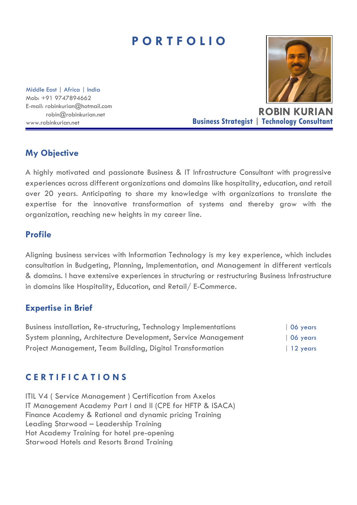# **P O R T F O L I O**

Middle East | Africa | India Mob: +91 9747894662 E-mail: robinkurian@hotmail.com robin@robinkurian.net

**ROBIN KURIAN** www.robinkurian.net **Business Strategist | Technology Consultant**

## **My Objective**

A highly motivated and passionate Business & IT Infrastructure Consultant with progressive experiences across different organizations and domains like hospitality, education, and retail over 20 years. Anticipating to share my knowledge with organizations to translate the expertise for the innovative transformation of systems and thereby grow with the organization, reaching new heights in my career line.

### **Profile**

Aligning business services with Information Technology is my key experience, which includes consultation in Budgeting, Planning, Implementation, and Management in different verticals & domains. I have extensive experiences in structuring or restructuring Business Infrastructure in domains like Hospitality, Education, and Retail/ E-Commerce.

### **Expertise in Brief**

| Business installation, Re-structuring, Technology Implementations | $\vert$ 06 years |
|-------------------------------------------------------------------|------------------|
| System planning, Architecture Development, Service Management     | $\vert$ 06 years |
| Project Management, Team Building, Digital Transformation         | $\vert$ 12 years |

# **C E R T I F I C A T I O N S**

ITIL V4 ( Service Management ) Certification from Axelos IT Management Academy Part I and II (CPE for HFTP & ISACA) Finance Academy & Rational and dynamic pricing Training Leading Starwood – Leadership Training Hot Academy Training for hotel pre-opening Starwood Hotels and Resorts Brand Training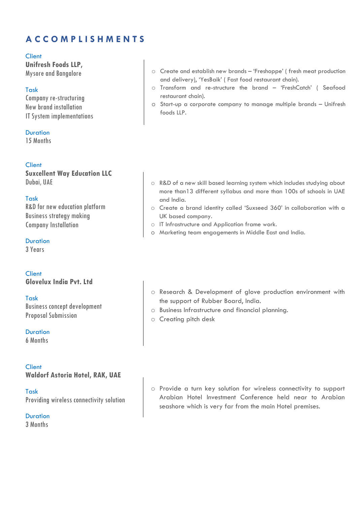# **A C C O M P L I S H M E N T S**

#### Client

**Unifresh Foods LLP,**  Mysore and Bangalore

#### Task

Company re-structuring New brand installation IT System implementations

**Duration** 

15 Months

#### **Client**

**Suxcellent Way Education LLC** Dubai, UAE

Task R&D for new education platform Business strategy making Company Installation

Duration

3 Years

Client **Glovelux India Pvt. Ltd**

Task Business concept development Proposal Submission

**Duration** 6 Months

#### **Client Waldorf Astoria Hotel, RAK, UAE**

Task Providing wireless connectivity solution

**Duration** 3 Months

- o Create and establish new brands 'Freshoppe' ( fresh meat production and delivery), 'YesBaik' ( Fast food restaurant chain).
- o Transform and re-structure the brand 'FreshCatch' ( Seafood restaurant chain).
- o Start-up a corporate company to manage multiple brands Unifresh foods LLP.

- o R&D of a new skill based learning system which includes studying about more than13 different syllabus and more than 100s of schools in UAE and India.
- o Create a brand identity called 'Suxseed 360' in collaboration with a UK based company.
- o IT Infrastructure and Application frame work.
- o Marketing team engagements in Middle East and India.
- o Research & Development of glove production environment with the support of Rubber Board, India.
- o Business Infrastructure and financial planning.
- o Creating pitch desk

o Provide a turn key solution for wireless connectivity to support Arabian Hotel Investment Conference held near to Arabian seashore which is very far from the main Hotel premises.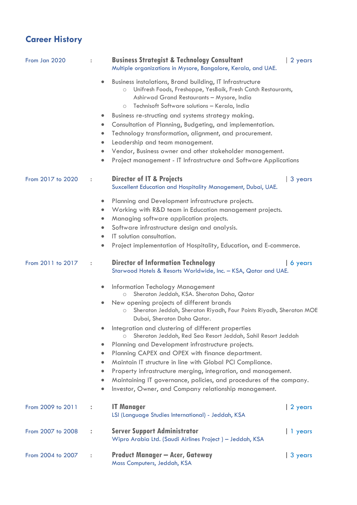# **Career History**

| From Jan 2020     |                      | <b>Business Strategist &amp; Technology Consultant</b><br>Multiple organizations in Mysore, Bangalore, Kerala, and UAE.                                                                                                                                                                                                                                                                                                                                                                                                                                                                                                                                                                                                                                                                                   | 2 years         |  |
|-------------------|----------------------|-----------------------------------------------------------------------------------------------------------------------------------------------------------------------------------------------------------------------------------------------------------------------------------------------------------------------------------------------------------------------------------------------------------------------------------------------------------------------------------------------------------------------------------------------------------------------------------------------------------------------------------------------------------------------------------------------------------------------------------------------------------------------------------------------------------|-----------------|--|
|                   |                      | Business instalations, Brand building, IT Infrastructure<br>Unifresh Foods, Freshoppe, YesBaik, Fresh Catch Restaurants,<br>$\bigcirc$<br>Ashirwad Grand Restaurants - Mysore, India<br>Technisoft Software solutions - Kerala, India<br>$\bigcirc$                                                                                                                                                                                                                                                                                                                                                                                                                                                                                                                                                       |                 |  |
|                   |                      | Business re-structing and systems strategy making.<br>$\bullet$<br>Consultation of Planning, Budgeting, and implementation.<br>$\bullet$<br>Technology transformation, alignment, and procurement.<br>$\bullet$<br>Leadership and team management.<br>$\bullet$<br>Vendor, Business owner and other stakeholder management.<br>Project management - IT Infrastructure and Software Applications                                                                                                                                                                                                                                                                                                                                                                                                           |                 |  |
| From 2017 to 2020 |                      | <b>Director of IT &amp; Projects</b><br>Suxcellent Education and Hospitality Management, Dubai, UAE.                                                                                                                                                                                                                                                                                                                                                                                                                                                                                                                                                                                                                                                                                                      | 3 years         |  |
|                   |                      | Planning and Development infrastructure projects.<br>$\bullet$<br>Working with R&D team in Education management projects.<br>Managing software application projects.<br>$\bullet$<br>Software infrastructure design and analysis.<br>IT solution consultation.<br>$\bullet$<br>Project implementation of Hospitality, Education, and E-commerce.<br>$\bullet$                                                                                                                                                                                                                                                                                                                                                                                                                                             |                 |  |
| From 2011 to 2017 | $\ddot{\phantom{a}}$ | <b>Director of Information Technology</b><br>Starwood Hotels & Resorts Worldwide, Inc. - KSA, Qatar and UAE.                                                                                                                                                                                                                                                                                                                                                                                                                                                                                                                                                                                                                                                                                              | $\vert$ 6 years |  |
|                   |                      | Information Techology Management<br>Sheraton Jeddah, KSA. Sheraton Doha, Qatar<br>$\circ$<br>New opening projects of different brands<br>Sheraton Jeddah, Sheraton Riyadh, Four Points Riyadh, Sheraton MOE<br>$\bigcirc$<br>Dubai, Sheraton Doha Qatar.<br>Integration and clustering of different properties<br>Sheraton Jeddah, Red Sea Resort Jeddah, Sahil Resort Jeddah<br>$\bigcirc$<br>Planning and Development infrastructure projects.<br>Planning CAPEX and OPEX with finance department.<br>$\bullet$<br>Maintain IT structure in line with Global PCI Compliance.<br>$\bullet$<br>Property infrastructure merging, integration, and management.<br>$\bullet$<br>Maintaining IT governance, policies, and procedures of the company.<br>Investor, Owner, and Company relationship management. |                 |  |
| From 2009 to 2011 | ÷                    | <b>IT Manager</b><br>LSI (Language Studies International) - Jeddah, KSA                                                                                                                                                                                                                                                                                                                                                                                                                                                                                                                                                                                                                                                                                                                                   | 2 years         |  |
| From 2007 to 2008 |                      | <b>Server Support Administrator</b><br>Wipro Arabia Ltd. (Saudi Airlines Project) - Jeddah, KSA                                                                                                                                                                                                                                                                                                                                                                                                                                                                                                                                                                                                                                                                                                           | $  1$ years     |  |
| From 2004 to 2007 |                      | <b>Product Manager - Acer, Gateway</b><br>Mass Computers, Jeddah, KSA                                                                                                                                                                                                                                                                                                                                                                                                                                                                                                                                                                                                                                                                                                                                     | 3 years         |  |